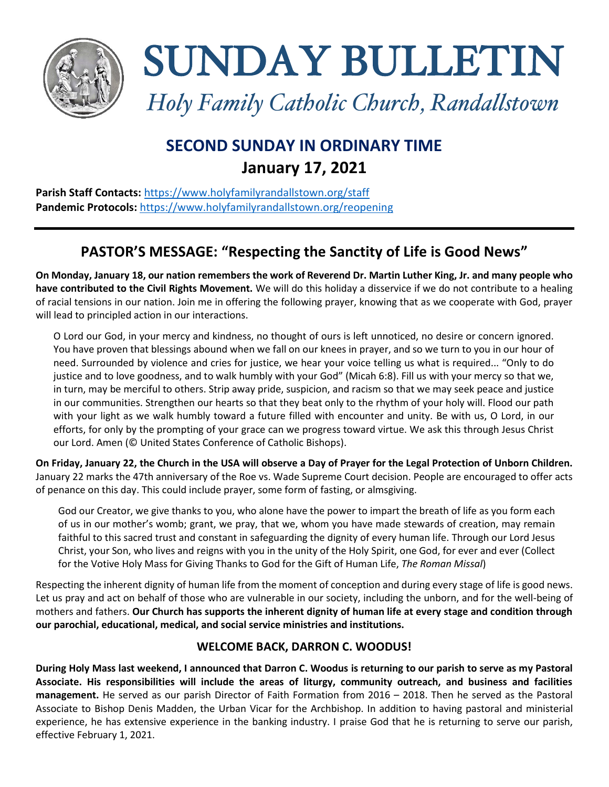

SUNDAY BULLETIN

*Holy Family Catholic Church, Randallstown*

# **SECOND SUNDAY IN ORDINARY TIME January 17, 2021**

**Parish Staff Contacts:** <https://www.holyfamilyrandallstown.org/staff> **Pandemic Protocols:** <https://www.holyfamilyrandallstown.org/reopening>

# **PASTOR'S MESSAGE: "Respecting the Sanctity of Life is Good News"**

**On Monday, January 18, our nation remembers the work of Reverend Dr. Martin Luther King, Jr. and many people who have contributed to the Civil Rights Movement.** We will do this holiday a disservice if we do not contribute to a healing of racial tensions in our nation. Join me in offering the following prayer, knowing that as we cooperate with God, prayer will lead to principled action in our interactions.

O Lord our God, in your mercy and kindness, no thought of ours is left unnoticed, no desire or concern ignored. You have proven that blessings abound when we fall on our knees in prayer, and so we turn to you in our hour of need. Surrounded by violence and cries for justice, we hear your voice telling us what is required... "Only to do justice and to love goodness, and to walk humbly with your God" (Micah 6:8). Fill us with your mercy so that we, in turn, may be merciful to others. Strip away pride, suspicion, and racism so that we may seek peace and justice in our communities. Strengthen our hearts so that they beat only to the rhythm of your holy will. Flood our path with your light as we walk humbly toward a future filled with encounter and unity. Be with us, O Lord, in our efforts, for only by the prompting of your grace can we progress toward virtue. We ask this through Jesus Christ our Lord. Amen (© United States Conference of Catholic Bishops).

**On Friday, January 22, the Church in the USA will observe a Day of Prayer for the Legal Protection of Unborn Children.** January 22 marks the 47th anniversary of the Roe vs. Wade Supreme Court decision. People are encouraged to offer acts of penance on this day. This could include prayer, some form of fasting, or almsgiving.

God our Creator, we give thanks to you, who alone have the power to impart the breath of life as you form each of us in our mother's womb; grant, we pray, that we, whom you have made stewards of creation, may remain faithful to this sacred trust and constant in safeguarding the dignity of every human life. Through our Lord Jesus Christ, your Son, who lives and reigns with you in the unity of the Holy Spirit, one God, for ever and ever (Collect for the Votive Holy Mass for Giving Thanks to God for the Gift of Human Life, *The Roman Missal*)

Respecting the inherent dignity of human life from the moment of conception and during every stage of life is good news. Let us pray and act on behalf of those who are vulnerable in our society, including the unborn, and for the well-being of mothers and fathers. **Our Church has supports the inherent dignity of human life at every stage and condition through our parochial, educational, medical, and social service ministries and institutions.** 

### **WELCOME BACK, DARRON C. WOODUS!**

**During Holy Mass last weekend, I announced that Darron C. Woodus is returning to our parish to serve as my Pastoral Associate. His responsibilities will include the areas of liturgy, community outreach, and business and facilities management.** He served as our parish Director of Faith Formation from 2016 – 2018. Then he served as the Pastoral Associate to Bishop Denis Madden, the Urban Vicar for the Archbishop. In addition to having pastoral and ministerial experience, he has extensive experience in the banking industry. I praise God that he is returning to serve our parish, effective February 1, 2021.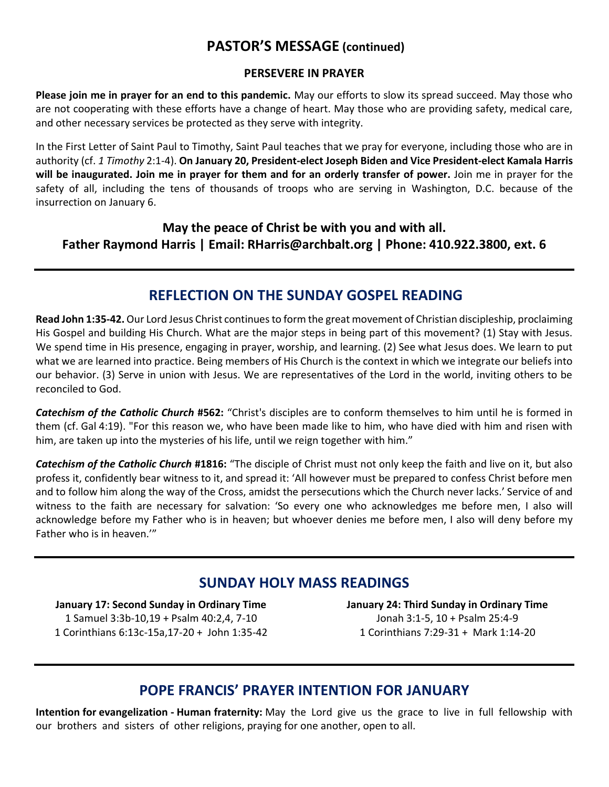## **PASTOR'S MESSAGE (continued)**

#### **PERSEVERE IN PRAYER**

**Please join me in prayer for an end to this pandemic.** May our efforts to slow its spread succeed. May those who are not cooperating with these efforts have a change of heart. May those who are providing safety, medical care, and other necessary services be protected as they serve with integrity.

In the First Letter of Saint Paul to Timothy, Saint Paul teaches that we pray for everyone, including those who are in authority (cf. *1 Timothy* 2:1-4). **On January 20, President-elect Joseph Biden and Vice President-elect Kamala Harris will be inaugurated. Join me in prayer for them and for an orderly transfer of power.** Join me in prayer for the safety of all, including the tens of thousands of troops who are serving in Washington, D.C. because of the insurrection on January 6.

**May the peace of Christ be with you and with all. Father Raymond Harris | Email: RHarris@archbalt.org | Phone: 410.922.3800, ext. 6**

### **REFLECTION ON THE SUNDAY GOSPEL READING**

**Read John 1:35-42.** Our Lord Jesus Christ continues to form the great movement of Christian discipleship, proclaiming His Gospel and building His Church. What are the major steps in being part of this movement? (1) Stay with Jesus. We spend time in His presence, engaging in prayer, worship, and learning. (2) See what Jesus does. We learn to put what we are learned into practice. Being members of His Church is the context in which we integrate our beliefs into our behavior. (3) Serve in union with Jesus. We are representatives of the Lord in the world, inviting others to be reconciled to God.

*Catechism of the Catholic Church* **#562:** "Christ's disciples are to conform themselves to him until he is formed in them (cf. Gal 4:19). "For this reason we, who have been made like to him, who have died with him and risen with him, are taken up into the mysteries of his life, until we reign together with him."

*Catechism of the Catholic Church* **#1816:** "The disciple of Christ must not only keep the faith and live on it, but also profess it, confidently bear witness to it, and spread it: 'All however must be prepared to confess Christ before men and to follow him along the way of the Cross, amidst the persecutions which the Church never lacks.' Service of and witness to the faith are necessary for salvation: 'So every one who acknowledges me before men, I also will acknowledge before my Father who is in heaven; but whoever denies me before men, I also will deny before my Father who is in heaven.'"

## **SUNDAY HOLY MASS READINGS**

**January 17: Second Sunday in Ordinary Time** 1 Samuel 3:3b-10,19 + Psalm 40:2,4, 7-10 1 Corinthians 6:13c-15a,17-20 + John 1:35-42 **January 24: Third Sunday in Ordinary Time** Jonah 3:1-5, 10 + Psalm 25:4-9 1 Corinthians 7:29-31 + Mark 1:14-20

### **POPE FRANCIS' PRAYER INTENTION FOR JANUARY**

**Intention for evangelization ‐ Human fraternity:** May the Lord give us the grace to live in full fellowship with our brothers and sisters of other religions, praying for one another, open to all.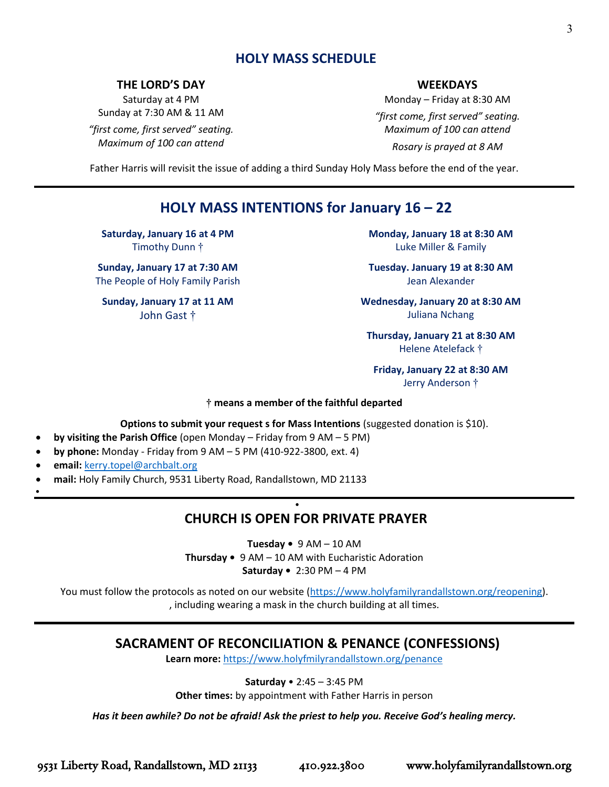### **HOLY MASS SCHEDULE**

#### **THE LORD'S DAY**

Saturday at 4 PM Sunday at 7:30 AM & 11 AM

*"first come, first served" seating. Maximum of 100 can attend*

#### **WEEKDAYS**

Monday – Friday at 8:30 AM *"first come, first served" seating. Maximum of 100 can attend Rosary is prayed at 8 AM*

Father Harris will revisit the issue of adding a third Sunday Holy Mass before the end of the year.

## **HOLY MASS INTENTIONS for January 16 – 22**

**Saturday, January 16 at 4 PM** Timothy Dunn †

**Sunday, January 17 at 7:30 AM** The People of Holy Family Parish

**Sunday, January 17 at 11 AM** John Gast †

**Monday, January 18 at 8:30 AM** Luke Miller & Family

**Tuesday. January 19 at 8:30 AM** Jean Alexander

**Wednesday, January 20 at 8:30 AM**  Juliana Nchang

**Thursday, January 21 at 8:30 AM** Helene Atelefack †

**Friday, January 22 at 8:30 AM** Jerry Anderson †

#### **† means a member of the faithful departed**

#### **Options to submit your request s for Mass Intentions** (suggested donation is \$10).

- **by visiting the Parish Office** (open Monday Friday from 9 AM 5 PM)
- **by phone:** Monday Friday from 9 AM 5 PM (410-922-3800, ext. 4)
- **email:** [kerry.topel@archbalt.org](mailto:kerry.topel@archbalt.org)
- **mail:** Holy Family Church, 9531 Liberty Road, Randallstown, MD 21133
- •

## **CHURCH IS OPEN FOR PRIVATE PRAYER**

•

**Tuesday •** 9 AM – 10 AM **Thursday •** 9 AM – 10 AM with Eucharistic Adoration

**Saturday •** 2:30 PM – 4 PM

You must follow the protocols as noted on our website [\(https://www.holyfamilyrandallstown.org/reopening\)](https://www.holyfamilyrandallstown.org/reopening). , including wearing a mask in the church building at all times.

### **SACRAMENT OF RECONCILIATION & PENANCE (CONFESSIONS)**

**Learn more:** <https://www.holyfmilyrandallstown.org/penance>

**Saturday** • 2:45 – 3:45 PM

**Other times:** by appointment with Father Harris in person

*Has it been awhile? Do not be afraid! Ask the priest to help you. Receive God's healing mercy.*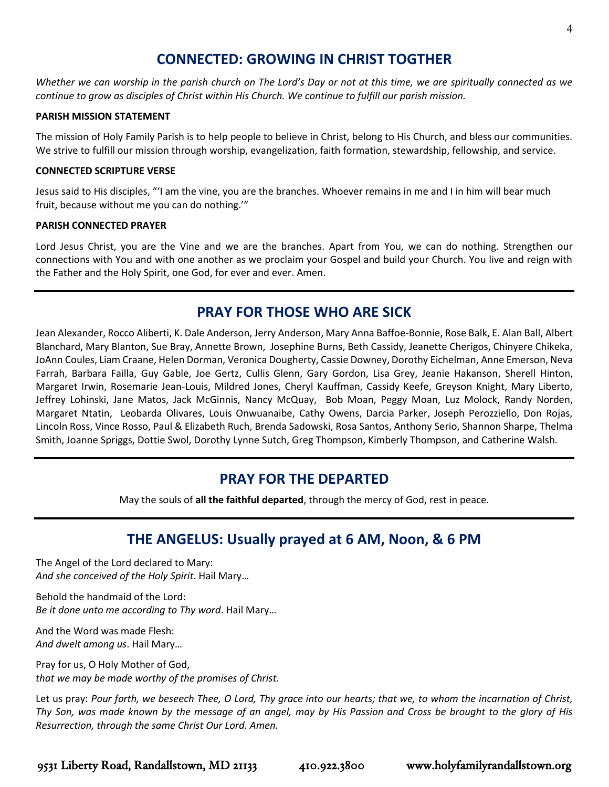## **CONNECTED: GROWING IN CHRIST TOGTHER**

*Whether we can worship in the parish church on The Lord's Day or not at this time, we are spiritually connected as we continue to grow as disciples of Christ within His Church. We continue to fulfill our parish mission.*

#### **PARISH MISSION STATEMENT**

The mission of Holy Family Parish is to help people to believe in Christ, belong to His Church, and bless our communities. We strive to fulfill our mission through worship, evangelization, faith formation, stewardship, fellowship, and service.

#### **CONNECTED SCRIPTURE VERSE**

Jesus said to His disciples, "'I am the vine, you are the branches. Whoever remains in me and I in him will bear much fruit, because without me you can do nothing.'"

#### **PARISH CONNECTED PRAYER**

Lord Jesus Christ, you are the Vine and we are the branches. Apart from You, we can do nothing. Strengthen our connections with You and with one another as we proclaim your Gospel and build your Church. You live and reign with the Father and the Holy Spirit, one God, for ever and ever. Amen.

## **PRAY FOR THOSE WHO ARE SICK**

Jean Alexander, Rocco Aliberti, K. Dale Anderson, Jerry Anderson, Mary Anna Baffoe-Bonnie, Rose Balk, E. Alan Ball, Albert Blanchard, Mary Blanton, Sue Bray, Annette Brown, Josephine Burns, Beth Cassidy, Jeanette Cherigos, Chinyere Chikeka, JoAnn Coules, Liam Craane, Helen Dorman, Veronica Dougherty, Cassie Downey, Dorothy Eichelman, Anne Emerson, Neva Farrah, Barbara Failla, Guy Gable, Joe Gertz, Cullis Glenn, Gary Gordon, Lisa Grey, Jeanie Hakanson, Sherell Hinton, Margaret Irwin, Rosemarie Jean-Louis, Mildred Jones, Cheryl Kauffman, Cassidy Keefe, Greyson Knight, Mary Liberto, Jeffrey Lohinski, Jane Matos, Jack McGinnis, Nancy McQuay, Bob Moan, Peggy Moan, Luz Molock, Randy Norden, Margaret Ntatin, Leobarda Olivares, Louis Onwuanaibe, Cathy Owens, Darcia Parker, Joseph Perozziello, Don Rojas, Lincoln Ross, Vince Rosso, Paul & Elizabeth Ruch, Brenda Sadowski, Rosa Santos, Anthony Serio, Shannon Sharpe, Thelma Smith, Joanne Spriggs, Dottie Swol, Dorothy Lynne Sutch, Greg Thompson, Kimberly Thompson, and Catherine Walsh.

## **PRAY FOR THE DEPARTED**

May the souls of **all the faithful departed**, through the mercy of God, rest in peace.

## **THE ANGELUS: Usually prayed at 6 AM, Noon, & 6 PM**

The Angel of the Lord declared to Mary: *And she conceived of the Holy Spirit*. Hail Mary…

Behold the handmaid of the Lord: *Be it done unto me according to Thy word*. Hail Mary…

And the Word was made Flesh: *And dwelt among us*. Hail Mary…

Pray for us, O Holy Mother of God, *that we may be made worthy of the promises of Christ.*

Let us pray: *Pour forth, we beseech Thee, O Lord, Thy grace into our hearts; that we, to whom the incarnation of Christ, Thy Son, was made known by the message of an angel, may by His Passion and Cross be brought to the glory of His Resurrection, through the same Christ Our Lord. Amen.*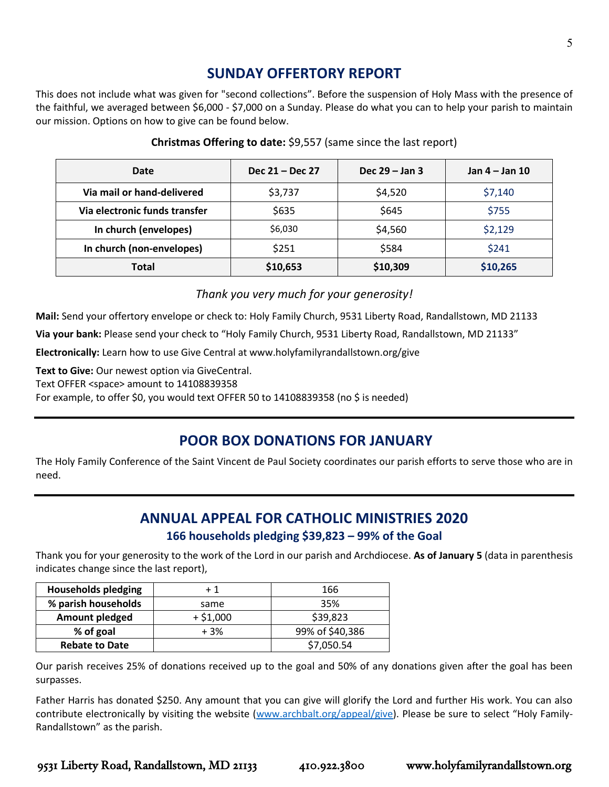## **SUNDAY OFFERTORY REPORT**

This does not include what was given for "second collections". Before the suspension of Holy Mass with the presence of the faithful, we averaged between \$6,000 - \$7,000 on a Sunday. Please do what you can to help your parish to maintain our mission. Options on how to give can be found below.

| Date                          | Dec 21 – Dec 27 | Dec $29 -$ Jan 3 | Jan 4 – Jan 10 |
|-------------------------------|-----------------|------------------|----------------|
| Via mail or hand-delivered    | \$3,737         | \$4,520          | \$7,140        |
| Via electronic funds transfer | \$635           | \$645            | \$755          |
| In church (envelopes)         | \$6,030         | \$4,560          | \$2,129        |
| In church (non-envelopes)     | \$251           | \$584            | \$241          |
| Total                         | \$10,653        | \$10,309         | \$10,265       |

#### **Christmas Offering to date:** \$9,557 (same since the last report)

*Thank you very much for your generosity!* 

**Mail:** Send your offertory envelope or check to: Holy Family Church, 9531 Liberty Road, Randallstown, MD 21133

**Via your bank:** Please send your check to "Holy Family Church, 9531 Liberty Road, Randallstown, MD 21133"

**Electronically:** Learn how to use Give Central at www.holyfamilyrandallstown.org/give

Text to Give: Our newest option via GiveCentral.

Text OFFER <space> amount to 14108839358

For example, to offer \$0, you would text OFFER 50 to 14108839358 (no \$ is needed)

## **POOR BOX DONATIONS FOR JANUARY**

The Holy Family Conference of the Saint Vincent de Paul Society coordinates our parish efforts to serve those who are in need.

## **ANNUAL APPEAL FOR CATHOLIC MINISTRIES 2020 166 households pledging \$39,823 – 99% of the Goal**

Thank you for your generosity to the work of the Lord in our parish and Archdiocese. **As of January 5** (data in parenthesis indicates change since the last report),

| <b>Households pledging</b> | $+1$       | 166             |
|----------------------------|------------|-----------------|
| % parish households        | same       | 35%             |
| <b>Amount pledged</b>      | $+ $1,000$ | \$39,823        |
| % of goal                  | $+3%$      | 99% of \$40,386 |
| <b>Rebate to Date</b>      |            | \$7,050.54      |

Our parish receives 25% of donations received up to the goal and 50% of any donations given after the goal has been surpasses.

Father Harris has donated \$250. Any amount that you can give will glorify the Lord and further His work. You can also contribute electronically by visiting the website [\(www.archbalt.org/appeal/give](http://www.archbalt.org/appeal/give)). Please be sure to select "Holy Family-Randallstown" as the parish.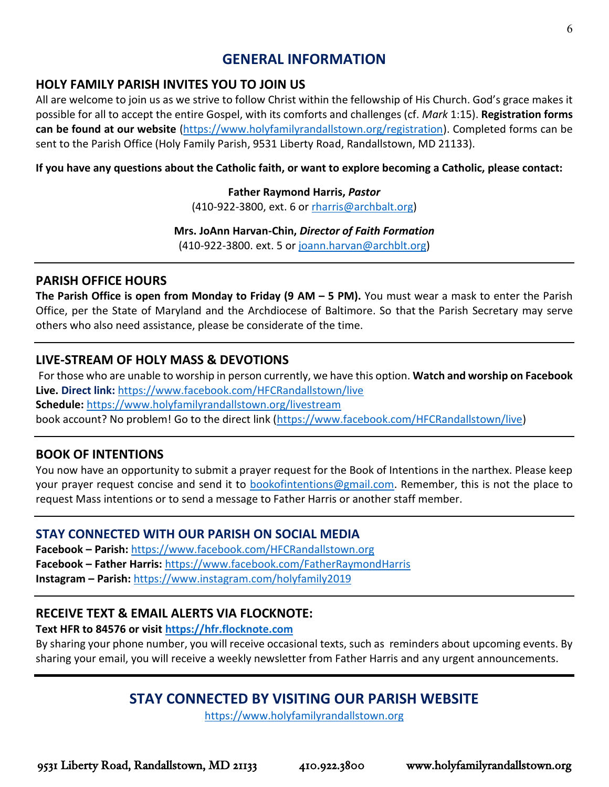### **GENERAL INFORMATION**

### **HOLY FAMILY PARISH INVITES YOU TO JOIN US**

All are welcome to join us as we strive to follow Christ within the fellowship of His Church. God's grace makes it possible for all to accept the entire Gospel, with its comforts and challenges (cf. *Mark* 1:15). **Registration forms can be found at our website** [\(https://www.holyfamilyrandallstown.org/registration\)](https://www.holyfamilyrandallstown.org/registration). Completed forms can be sent to the Parish Office (Holy Family Parish, 9531 Liberty Road, Randallstown, MD 21133).

### **If you have any questions about the Catholic faith, or want to explore becoming a Catholic, please contact:**

### **Father Raymond Harris,** *Pastor*

(410-922-3800, ext. 6 or [rharris@archbalt.org\)](mailto:rharris@archbalt.org)

#### **Mrs. JoAnn Harvan-Chin,** *Director of Faith Formation*

(410-922-3800. ext. 5 or [joann.harvan@archblt.org\)](mailto:joann.harvan@archblt.org)

### **PARISH OFFICE HOURS**

**The Parish Office is open from Monday to Friday (9 AM – 5 PM).** You must wear a mask to enter the Parish Office, per the State of Maryland and the Archdiocese of Baltimore. So that the Parish Secretary may serve others who also need assistance, please be considerate of the time.

### **LIVE-STREAM OF HOLY MASS & DEVOTIONS**

For those who are unable to worship in person currently, we have this option. **Watch and worship on Facebook Live. Direct link:** <https://www.facebook.com/HFCRandallstown/live> **Schedule:** <https://www.holyfamilyrandallstown.org/livestream> book account? No problem! Go to the direct link [\(https://www.facebook.com/HFCRandallstown/live\)](https://www.facebook.com/HFCRandallstown/live)

### **BOOK OF INTENTIONS**

You now have an opportunity to submit a prayer request for the Book of Intentions in the narthex. Please keep your prayer request concise and send it to [bookofintentions@gmail.com.](mailto:bookofintentions@gmail.com) Remember, this is not the place to request Mass intentions or to send a message to Father Harris or another staff member.

### **STAY CONNECTED WITH OUR PARISH ON SOCIAL MEDIA**

**Facebook – Parish:** <https://www.facebook.com/HFCRandallstown.org> **Facebook – Father Harris:** <https://www.facebook.com/FatherRaymondHarris> **Instagram – Parish:** <https://www.instagram.com/holyfamily2019>

## **RECEIVE TEXT & EMAIL ALERTS VIA FLOCKNOTE:**

### **Text HFR to 84576 or visit [https://hfr.flocknote.com](https://hfr.flocknote.com/)**

By sharing your phone number, you will receive occasional texts, such as reminders about upcoming events. By sharing your email, you will receive a weekly newsletter from Father Harris and any urgent announcements.

## **STAY CONNECTED BY VISITING OUR PARISH WEBSITE**

[https://www.holyfamilyrandallstown.org](https://www.holyfamilyrandallstown.org/)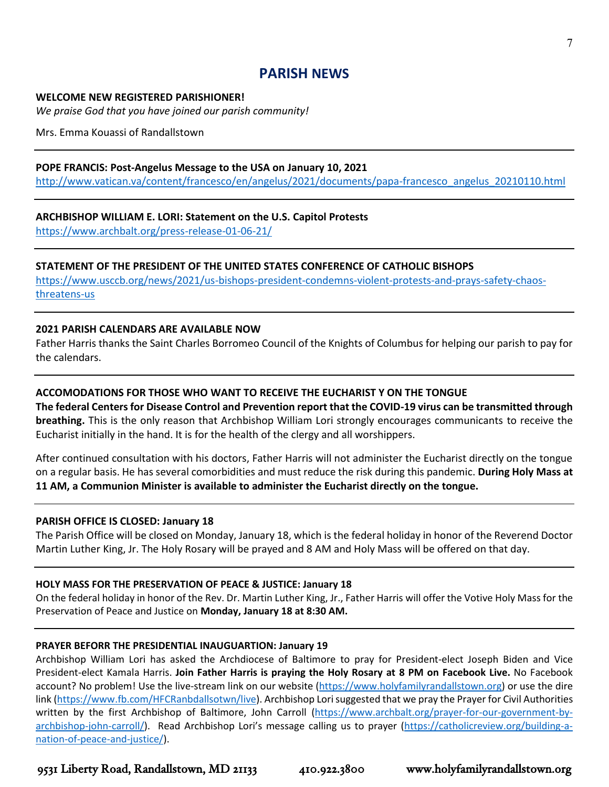### **PARISH NEWS**

#### **WELCOME NEW REGISTERED PARISHIONER!**

*We praise God that you have joined our parish community!*

Mrs. Emma Kouassi of Randallstown

#### **POPE FRANCIS: Post-Angelus Message to the USA on January 10, 2021**

[http://www.vatican.va/content/francesco/en/angelus/2021/documents/papa-francesco\\_angelus\\_20210110.html](http://www.vatican.va/content/francesco/en/angelus/2021/documents/papa-francesco_angelus_20210110.html)

#### **ARCHBISHOP WILLIAM E. LORI: Statement on the U.S. Capitol Protests**

<https://www.archbalt.org/press-release-01-06-21/>

#### **STATEMENT OF THE PRESIDENT OF THE UNITED STATES CONFERENCE OF CATHOLIC BISHOPS**

[https://www.usccb.org/news/2021/us-bishops-president-condemns-violent-protests-and-prays-safety-chaos](https://www.usccb.org/news/2021/us-bishops-president-condemns-violent-protests-and-prays-safety-chaos-threatens-us)[threatens-us](https://www.usccb.org/news/2021/us-bishops-president-condemns-violent-protests-and-prays-safety-chaos-threatens-us)

#### **2021 PARISH CALENDARS ARE AVAILABLE NOW**

Father Harris thanks the Saint Charles Borromeo Council of the Knights of Columbus for helping our parish to pay for the calendars.

#### **ACCOMODATIONS FOR THOSE WHO WANT TO RECEIVE THE EUCHARIST Y ON THE TONGUE**

**The federal Centers for Disease Control and Prevention report that the COVID-19 virus can be transmitted through breathing.** This is the only reason that Archbishop William Lori strongly encourages communicants to receive the Eucharist initially in the hand. It is for the health of the clergy and all worshippers.

After continued consultation with his doctors, Father Harris will not administer the Eucharist directly on the tongue on a regular basis. He has several comorbidities and must reduce the risk during this pandemic. **During Holy Mass at 11 AM, a Communion Minister is available to administer the Eucharist directly on the tongue.**

#### **PARISH OFFICE IS CLOSED: January 18**

The Parish Office will be closed on Monday, January 18, which is the federal holiday in honor of the Reverend Doctor Martin Luther King, Jr. The Holy Rosary will be prayed and 8 AM and Holy Mass will be offered on that day.

#### **HOLY MASS FOR THE PRESERVATION OF PEACE & JUSTICE: January 18**

On the federal holiday in honor of the Rev. Dr. Martin Luther King, Jr., Father Harris will offer the Votive Holy Mass for the Preservation of Peace and Justice on **Monday, January 18 at 8:30 AM.**

#### **PRAYER BEFORR THE PRESIDENTIAL INAUGUARTION: January 19**

Archbishop William Lori has asked the Archdiocese of Baltimore to pray for President-elect Joseph Biden and Vice President-elect Kamala Harris. **Join Father Harris is praying the Holy Rosary at 8 PM on Facebook Live.** No Facebook account? No problem! Use the live-stream link on our website [\(https://www.holyfamilyrandallstown.org\)](https://www.holyfamilyrandallstown.org/) or use the dire link [\(https://www.fb.com/HFCRanbdallsotwn/live\)](https://www.fb.com/HFCRanbdallsotwn/live). Archbishop Lori suggested that we pray the Prayer for Civil Authorities written by the first Archbishop of Baltimore, John Carroll [\(https://www.archbalt.org/prayer-for-our-government-by](https://www.archbalt.org/prayer-for-our-government-by-archbishop-john-carroll/)[archbishop-john-carroll/\)](https://www.archbalt.org/prayer-for-our-government-by-archbishop-john-carroll/). Read Archbishop Lori's message calling us to prayer [\(https://catholicreview.org/building-a](https://catholicreview.org/building-a-nation-of-peace-and-justice/)[nation-of-peace-and-justice/\)](https://catholicreview.org/building-a-nation-of-peace-and-justice/).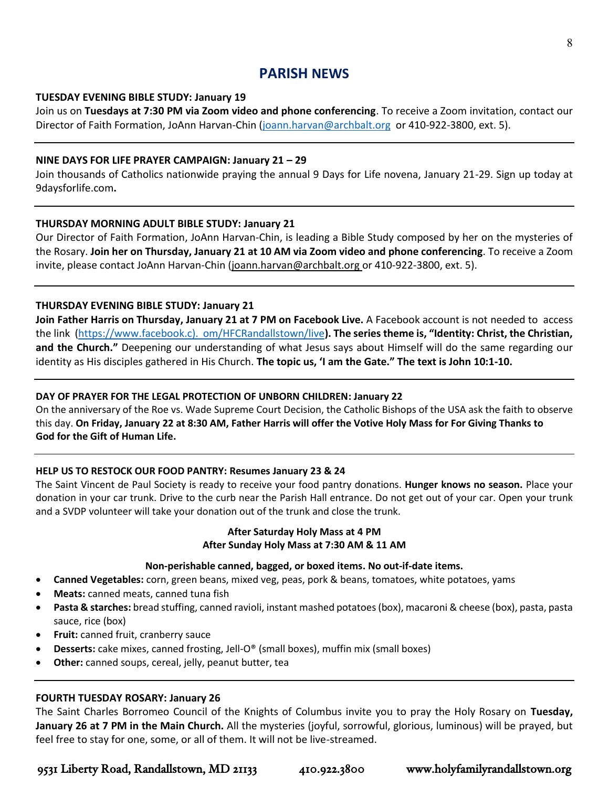### **PARISH NEWS**

#### **TUESDAY EVENING BIBLE STUDY: January 19**

Join us on **Tuesdays at 7:30 PM via Zoom video and phone conferencing**. To receive a Zoom invitation, contact our Director of Faith Formation, JoAnn Harvan-Chin [\(joann.harvan@archbalt.org](mailto:joann.harvan@archbalt.org) or 410-922-3800, ext. 5).

#### **NINE DAYS FOR LIFE PRAYER CAMPAIGN: January 21 – 29**

Join thousands of Catholics nationwide praying the annual 9 Days for Life novena, January 21-29. Sign up today at 9daysforlife.com**.** 

#### **THURSDAY MORNING ADULT BIBLE STUDY: January 21**

Our Director of Faith Formation, JoAnn Harvan-Chin, is leading a Bible Study composed by her on the mysteries of the Rosary. **Join her on Thursday, January 21 at 10 AM via Zoom video and phone conferencing**. To receive a Zoom invite, please contact JoAnn Harvan-Chin [\(joann.harvan@archbalt.org](mailto:joann.harvan@archbalt.org) or 410-922-3800, ext. 5).

#### **THURSDAY EVENING BIBLE STUDY: January 21**

**Join Father Harris on Thursday, January 21 at 7 PM on Facebook Live.** A Facebook account is not needed to access the link (https://www.facebook.c). om/HFCRandallstown/live**). The series theme is, "Identity: Christ, the Christian, and the Church."** Deepening our understanding of what Jesus says about Himself will do the same regarding our identity as His disciples gathered in His Church. **The topic us, 'I am the Gate." The text is John 10:1-10.** 

#### **DAY OF PRAYER FOR THE LEGAL PROTECTION OF UNBORN CHILDREN: January 22**

On the anniversary of the Roe vs. Wade Supreme Court Decision, the Catholic Bishops of the USA ask the faith to observe this day. **On Friday, January 22 at 8:30 AM, Father Harris will offer the Votive Holy Mass for For Giving Thanks to God for the Gift of Human Life.**

#### **HELP US TO RESTOCK OUR FOOD PANTRY: Resumes January 23 & 24**

The Saint Vincent de Paul Society is ready to receive your food pantry donations. **Hunger knows no season.** Place your donation in your car trunk. Drive to the curb near the Parish Hall entrance. Do not get out of your car. Open your trunk and a SVDP volunteer will take your donation out of the trunk and close the trunk.

#### **After Saturday Holy Mass at 4 PM After Sunday Holy Mass at 7:30 AM & 11 AM**

#### **Non-perishable canned, bagged, or boxed items. No out-if-date items.**

- **Canned Vegetables:** corn, green beans, mixed veg, peas, pork & beans, tomatoes, white potatoes, yams
- **Meats:** canned meats, canned tuna fish
- **Pasta & starches:** bread stuffing, canned ravioli, instant mashed potatoes (box), macaroni & cheese (box), pasta, pasta sauce, rice (box)
- **Fruit:** canned fruit, cranberry sauce
- **Desserts:** cake mixes, canned frosting, Jell-O® (small boxes), muffin mix (small boxes)
- **Other:** canned soups, cereal, jelly, peanut butter, tea

#### **FOURTH TUESDAY ROSARY: January 26**

The Saint Charles Borromeo Council of the Knights of Columbus invite you to pray the Holy Rosary on **Tuesday, January 26 at 7 PM in the Main Church.** All the mysteries (joyful, sorrowful, glorious, luminous) will be prayed, but feel free to stay for one, some, or all of them. It will not be live-streamed.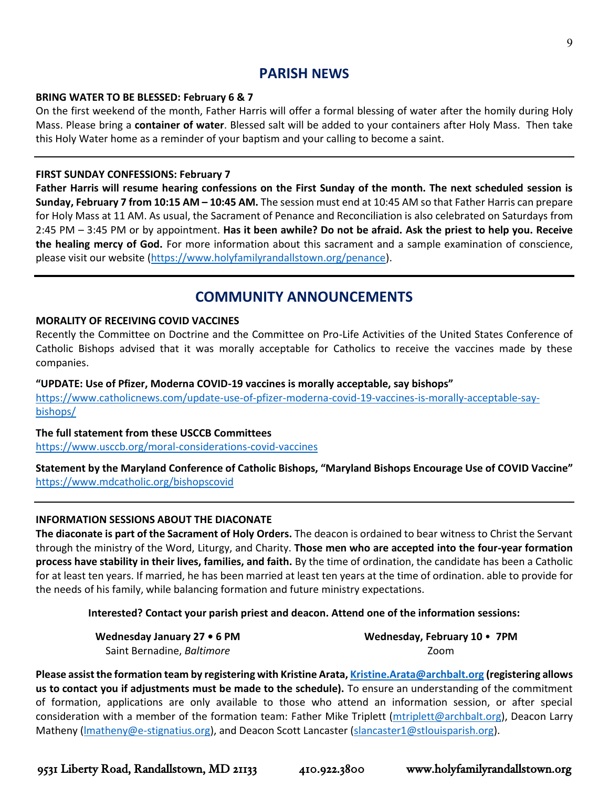### **PARISH NEWS**

#### **BRING WATER TO BE BLESSED: February 6 & 7**

On the first weekend of the month, Father Harris will offer a formal blessing of water after the homily during Holy Mass. Please bring a **container of water**. Blessed salt will be added to your containers after Holy Mass. Then take this Holy Water home as a reminder of your baptism and your calling to become a saint.

#### **FIRST SUNDAY CONFESSIONS: February 7**

**Father Harris will resume hearing confessions on the First Sunday of the month. The next scheduled session is Sunday, February 7 from 10:15 AM – 10:45 AM.** The session must end at 10:45 AM so that Father Harris can prepare for Holy Mass at 11 AM. As usual, the Sacrament of Penance and Reconciliation is also celebrated on Saturdays from 2:45 PM – 3:45 PM or by appointment. **Has it been awhile? Do not be afraid. Ask the priest to help you. Receive the healing mercy of God.** For more information about this sacrament and a sample examination of conscience, please visit our website [\(https://www.holyfamilyrandallstown.org/penance\)](https://www.holyfamilyrandallstown.org/penance).

## **COMMUNITY ANNOUNCEMENTS**

#### **MORALITY OF RECEIVING COVID VACCINES**

Recently the Committee on Doctrine and the Committee on Pro-Life Activities of the United States Conference of Catholic Bishops advised that it was morally acceptable for Catholics to receive the vaccines made by these companies.

#### **"UPDATE: Use of Pfizer, Moderna COVID-19 vaccines is morally acceptable, say bishops"**

[https://www.catholicnews.com/update-use-of-pfizer-moderna-covid-19-vaccines-is-morally-acceptable-say](https://www.catholicnews.com/update-use-of-pfizer-moderna-covid-19-vaccines-is-morally-acceptable-say-bishops/)[bishops/](https://www.catholicnews.com/update-use-of-pfizer-moderna-covid-19-vaccines-is-morally-acceptable-say-bishops/)

#### **The full statement from these USCCB Committees**

<https://www.usccb.org/moral-considerations-covid-vaccines>

**Statement by the Maryland Conference of Catholic Bishops, "Maryland Bishops Encourage Use of COVID Vaccine"** <https://www.mdcatholic.org/bishopscovid>

#### **INFORMATION SESSIONS ABOUT THE DIACONATE**

**The diaconate is part of the Sacrament of Holy Orders.** The deacon is ordained to bear witness to Christ the Servant through the ministry of the Word, Liturgy, and Charity. **Those men who are accepted into the four-year formation process have stability in their lives, families, and faith.** By the time of ordination, the candidate has been a Catholic for at least ten years. If married, he has been married at least ten years at the time of ordination. able to provide for the needs of his family, while balancing formation and future ministry expectations.

#### **Interested? Contact your parish priest and deacon. Attend one of the information sessions:**

**Wednesday January 27 • 6 PM** Saint Bernadine, *Baltimore*

**Wednesday, February 10** • **7PM** Zoom

**Please assist the formation team by registering with Kristine Arata[, Kristine.Arata@archbalt.org](mailto:Kristine.Arata@archbalt.org) (registering allows us to contact you if adjustments must be made to the schedule).** To ensure an understanding of the commitment of formation, applications are only available to those who attend an information session, or after special consideration with a member of the formation team: Father Mike Triplett [\(mtriplett@archbalt.org\)](mailto:mtriplett@archbalt.org), Deacon Larry Matheny (Imatheny@e-stignatius.org), and Deacon Scott Lancaster [\(slancaster1@stlouisparish.org\)](mailto:slancaster1@stlouisparish.org).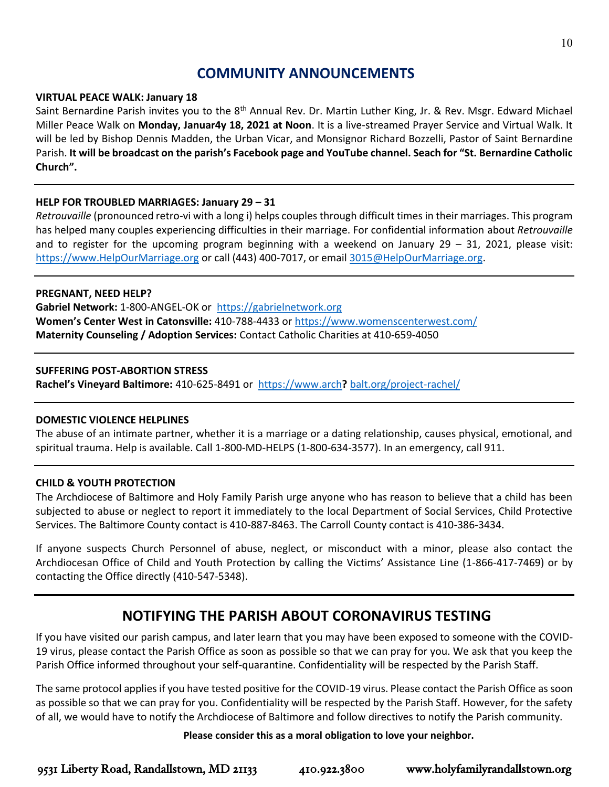## **COMMUNITY ANNOUNCEMENTS**

#### **VIRTUAL PEACE WALK: January 18**

Saint Bernardine Parish invites you to the 8<sup>th</sup> Annual Rev. Dr. Martin Luther King, Jr. & Rev. Msgr. Edward Michael Miller Peace Walk on **Monday, Januar4y 18, 2021 at Noon**. It is a live-streamed Prayer Service and Virtual Walk. It will be led by Bishop Dennis Madden, the Urban Vicar, and Monsignor Richard Bozzelli, Pastor of Saint Bernardine Parish. **It will be broadcast on the parish's Facebook page and YouTube channel. Seach for "St. Bernardine Catholic Church".**

#### **HELP FOR TROUBLED MARRIAGES: January 29 – 31**

*Retrouvaille* (pronounced retro-vi with a long i) helps couples through difficult times in their marriages. This program has helped many couples experiencing difficulties in their marriage. For confidential information about *Retrouvaille* and to register for the upcoming program beginning with a weekend on January  $29 - 31$ , 2021, please visit: [https://www.HelpOurMarriage.org](https://www.helpourmarriage.org/) or call (443) 400-7017, or email [3015@HelpOurMarriage.org.](mailto:3015@HelpOurMarriage.org)

#### **PREGNANT, NEED HELP?**

**Gabriel Network:** 1-800-ANGEL-OK or [https://gabrielnetwork.org](https://gabrielnetwork.org/) **Women's Center West in Catonsville:** 410-788-4433 or<https://www.womenscenterwest.com/> **Maternity Counseling / Adoption Services:** Contact Catholic Charities at 410-659-4050

#### **SUFFERING POST-ABORTION STRESS**

**Rachel's Vineyard Baltimore:** 410-625-8491 or https://www.arch**?** [balt.org/project-rachel/](https://www.archbalt.org/project-rachel/)

#### **DOMESTIC VIOLENCE HELPLINES**

The abuse of an intimate partner, whether it is a marriage or a dating relationship, causes physical, emotional, and spiritual trauma. Help is available. Call 1-800-MD-HELPS (1-800-634-3577). In an emergency, call 911.

#### **CHILD & YOUTH PROTECTION**

The Archdiocese of Baltimore and Holy Family Parish urge anyone who has reason to believe that a child has been subjected to abuse or neglect to report it immediately to the local Department of Social Services, Child Protective Services. The Baltimore County contact is 410-887-8463. The Carroll County contact is 410-386-3434.

If anyone suspects Church Personnel of abuse, neglect, or misconduct with a minor, please also contact the Archdiocesan Office of Child and Youth Protection by calling the Victims' Assistance Line (1-866-417-7469) or by contacting the Office directly (410-547-5348).

## **NOTIFYING THE PARISH ABOUT CORONAVIRUS TESTING**

If you have visited our parish campus, and later learn that you may have been exposed to someone with the COVID-19 virus, please contact the Parish Office as soon as possible so that we can pray for you. We ask that you keep the Parish Office informed throughout your self-quarantine. Confidentiality will be respected by the Parish Staff.

The same protocol applies if you have tested positive for the COVID-19 virus. Please contact the Parish Office as soon as possible so that we can pray for you. Confidentiality will be respected by the Parish Staff. However, for the safety of all, we would have to notify the Archdiocese of Baltimore and follow directives to notify the Parish community.

#### **Please consider this as a moral obligation to love your neighbor.**